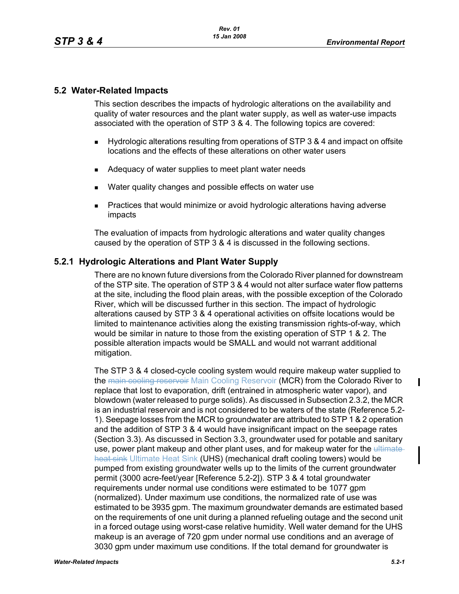#### **5.2 Water-Related Impacts**

This section describes the impacts of hydrologic alterations on the availability and quality of water resources and the plant water supply, as well as water-use impacts associated with the operation of STP 3 & 4. The following topics are covered:

- Hydrologic alterations resulting from operations of STP 3 & 4 and impact on offsite locations and the effects of these alterations on other water users
- Adequacy of water supplies to meet plant water needs
- **Nater quality changes and possible effects on water use**
- **Practices that would minimize or avoid hydrologic alterations having adverse** impacts

The evaluation of impacts from hydrologic alterations and water quality changes caused by the operation of STP 3 & 4 is discussed in the following sections.

### **5.2.1 Hydrologic Alterations and Plant Water Supply**

There are no known future diversions from the Colorado River planned for downstream of the STP site. The operation of STP 3 & 4 would not alter surface water flow patterns at the site, including the flood plain areas, with the possible exception of the Colorado River, which will be discussed further in this section. The impact of hydrologic alterations caused by STP 3 & 4 operational activities on offsite locations would be limited to maintenance activities along the existing transmission rights-of-way, which would be similar in nature to those from the existing operation of STP 1 & 2. The possible alteration impacts would be SMALL and would not warrant additional mitigation.

The STP 3 & 4 closed-cycle cooling system would require makeup water supplied to the main cooling reservoir Main Cooling Reservoir (MCR) from the Colorado River to replace that lost to evaporation, drift (entrained in atmospheric water vapor), and blowdown (water released to purge solids). As discussed in Subsection 2.3.2, the MCR is an industrial reservoir and is not considered to be waters of the state (Reference 5.2- 1). Seepage losses from the MCR to groundwater are attributed to STP 1 & 2 operation and the addition of STP 3 & 4 would have insignificant impact on the seepage rates (Section 3.3). As discussed in Section 3.3, groundwater used for potable and sanitary use, power plant makeup and other plant uses, and for makeup water for the ultimateheat sink Ultimate Heat Sink (UHS) (mechanical draft cooling towers) would be pumped from existing groundwater wells up to the limits of the current groundwater permit (3000 acre-feet/year [Reference 5.2-2]). STP 3 & 4 total groundwater requirements under normal use conditions were estimated to be 1077 gpm (normalized). Under maximum use conditions, the normalized rate of use was estimated to be 3935 gpm. The maximum groundwater demands are estimated based on the requirements of one unit during a planned refueling outage and the second unit in a forced outage using worst-case relative humidity. Well water demand for the UHS makeup is an average of 720 gpm under normal use conditions and an average of 3030 gpm under maximum use conditions. If the total demand for groundwater is

П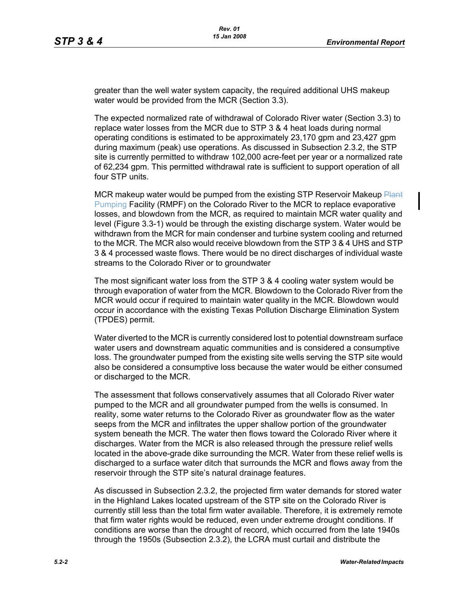greater than the well water system capacity, the required additional UHS makeup water would be provided from the MCR (Section 3.3).

The expected normalized rate of withdrawal of Colorado River water (Section 3.3) to replace water losses from the MCR due to STP 3 & 4 heat loads during normal operating conditions is estimated to be approximately 23,170 gpm and 23,427 gpm during maximum (peak) use operations. As discussed in Subsection 2.3.2, the STP site is currently permitted to withdraw 102,000 acre-feet per year or a normalized rate of 62,234 gpm. This permitted withdrawal rate is sufficient to support operation of all four STP units.

MCR makeup water would be pumped from the existing STP Reservoir Makeup Plant Pumping Facility (RMPF) on the Colorado River to the MCR to replace evaporative losses, and blowdown from the MCR, as required to maintain MCR water quality and level (Figure 3.3-1) would be through the existing discharge system. Water would be withdrawn from the MCR for main condenser and turbine system cooling and returned to the MCR. The MCR also would receive blowdown from the STP 3 & 4 UHS and STP 3 & 4 processed waste flows. There would be no direct discharges of individual waste streams to the Colorado River or to groundwater

The most significant water loss from the STP 3 & 4 cooling water system would be through evaporation of water from the MCR. Blowdown to the Colorado River from the MCR would occur if required to maintain water quality in the MCR. Blowdown would occur in accordance with the existing Texas Pollution Discharge Elimination System (TPDES) permit.

Water diverted to the MCR is currently considered lost to potential downstream surface water users and downstream aquatic communities and is considered a consumptive loss. The groundwater pumped from the existing site wells serving the STP site would also be considered a consumptive loss because the water would be either consumed or discharged to the MCR.

The assessment that follows conservatively assumes that all Colorado River water pumped to the MCR and all groundwater pumped from the wells is consumed. In reality, some water returns to the Colorado River as groundwater flow as the water seeps from the MCR and infiltrates the upper shallow portion of the groundwater system beneath the MCR. The water then flows toward the Colorado River where it discharges. Water from the MCR is also released through the pressure relief wells located in the above-grade dike surrounding the MCR. Water from these relief wells is discharged to a surface water ditch that surrounds the MCR and flows away from the reservoir through the STP site's natural drainage features.

As discussed in Subsection 2.3.2, the projected firm water demands for stored water in the Highland Lakes located upstream of the STP site on the Colorado River is currently still less than the total firm water available. Therefore, it is extremely remote that firm water rights would be reduced, even under extreme drought conditions. If conditions are worse than the drought of record, which occurred from the late 1940s through the 1950s (Subsection 2.3.2), the LCRA must curtail and distribute the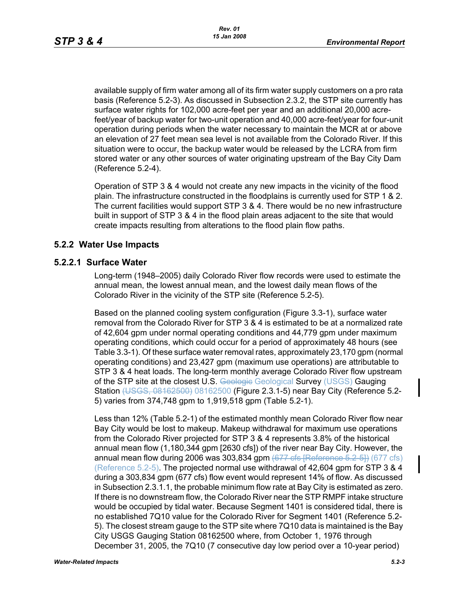available supply of firm water among all of its firm water supply customers on a pro rata basis (Reference 5.2-3). As discussed in Subsection 2.3.2, the STP site currently has surface water rights for 102,000 acre-feet per year and an additional 20,000 acrefeet/year of backup water for two-unit operation and 40,000 acre-feet/year for four-unit operation during periods when the water necessary to maintain the MCR at or above an elevation of 27 feet mean sea level is not available from the Colorado River. If this situation were to occur, the backup water would be released by the LCRA from firm stored water or any other sources of water originating upstream of the Bay City Dam (Reference 5.2-4).

Operation of STP 3 & 4 would not create any new impacts in the vicinity of the flood plain. The infrastructure constructed in the floodplains is currently used for STP 1 & 2. The current facilities would support STP 3 & 4. There would be no new infrastructure built in support of STP 3 & 4 in the flood plain areas adjacent to the site that would create impacts resulting from alterations to the flood plain flow paths.

## **5.2.2 Water Use Impacts**

#### **5.2.2.1 Surface Water**

Long-term (1948–2005) daily Colorado River flow records were used to estimate the annual mean, the lowest annual mean, and the lowest daily mean flows of the Colorado River in the vicinity of the STP site (Reference 5.2-5).

Based on the planned cooling system configuration (Figure 3.3-1), surface water removal from the Colorado River for STP 3 & 4 is estimated to be at a normalized rate of 42,604 gpm under normal operating conditions and 44,779 gpm under maximum operating conditions, which could occur for a period of approximately 48 hours (see Table 3.3-1). Of these surface water removal rates, approximately 23,170 gpm (normal operating conditions) and 23,427 gpm (maximum use operations) are attributable to STP 3 & 4 heat loads. The long-term monthly average Colorado River flow upstream of the STP site at the closest U.S. Geologie Geological Survey (USGS) Gauging Station (USGS, 08162500) 08162500 (Figure 2.3.1-5) near Bay City (Reference 5.2-5) varies from 374,748 gpm to 1,919,518 gpm (Table 5.2-1).

Less than 12% (Table 5.2-1) of the estimated monthly mean Colorado River flow near Bay City would be lost to makeup. Makeup withdrawal for maximum use operations from the Colorado River projected for STP 3 & 4 represents 3.8% of the historical annual mean flow (1,180,344 gpm [2630 cfs]) of the river near Bay City. However, the annual mean flow during 2006 was 303,834 gpm  $(677 \text{ cfs}$  [Reference 5.2-5]) (677 cfs) (Reference 5.2-5). The projected normal use withdrawal of 42,604 gpm for STP 3 & 4 during a 303,834 gpm (677 cfs) flow event would represent 14% of flow. As discussed in Subsection 2.3.1.1, the probable minimum flow rate at Bay City is estimated as zero. If there is no downstream flow, the Colorado River near the STP RMPF intake structure would be occupied by tidal water. Because Segment 1401 is considered tidal, there is no established 7Q10 value for the Colorado River for Segment 1401 (Reference 5.2- 5). The closest stream gauge to the STP site where 7Q10 data is maintained is the Bay City USGS Gauging Station 08162500 where, from October 1, 1976 through December 31, 2005, the 7Q10 (7 consecutive day low period over a 10-year period)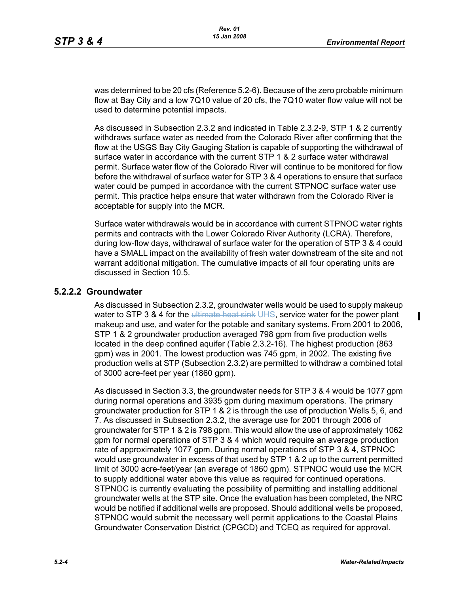was determined to be 20 cfs (Reference 5.2-6). Because of the zero probable minimum flow at Bay City and a low 7Q10 value of 20 cfs, the 7Q10 water flow value will not be used to determine potential impacts.

As discussed in Subsection 2.3.2 and indicated in Table 2.3.2-9, STP 1 & 2 currently withdraws surface water as needed from the Colorado River after confirming that the flow at the USGS Bay City Gauging Station is capable of supporting the withdrawal of surface water in accordance with the current STP 1 & 2 surface water withdrawal permit. Surface water flow of the Colorado River will continue to be monitored for flow before the withdrawal of surface water for STP 3 & 4 operations to ensure that surface water could be pumped in accordance with the current STPNOC surface water use permit. This practice helps ensure that water withdrawn from the Colorado River is acceptable for supply into the MCR.

Surface water withdrawals would be in accordance with current STPNOC water rights permits and contracts with the Lower Colorado River Authority (LCRA). Therefore, during low-flow days, withdrawal of surface water for the operation of STP 3 & 4 could have a SMALL impact on the availability of fresh water downstream of the site and not warrant additional mitigation. The cumulative impacts of all four operating units are discussed in Section 10.5.

#### **5.2.2.2 Groundwater**

As discussed in Subsection 2.3.2, groundwater wells would be used to supply makeup water to STP 3 & 4 for the ultimate heat sink UHS, service water for the power plant makeup and use, and water for the potable and sanitary systems. From 2001 to 2006, STP 1 & 2 groundwater production averaged 798 gpm from five production wells located in the deep confined aquifer (Table 2.3.2-16). The highest production (863 gpm) was in 2001. The lowest production was 745 gpm, in 2002. The existing five production wells at STP (Subsection 2.3.2) are permitted to withdraw a combined total of 3000 acre-feet per year (1860 gpm).

As discussed in Section 3.3, the groundwater needs for STP 3 & 4 would be 1077 gpm during normal operations and 3935 gpm during maximum operations. The primary groundwater production for STP 1 & 2 is through the use of production Wells 5, 6, and 7. As discussed in Subsection 2.3.2, the average use for 2001 through 2006 of groundwater for STP 1 & 2 is 798 gpm. This would allow the use of approximately 1062 gpm for normal operations of STP 3 & 4 which would require an average production rate of approximately 1077 gpm. During normal operations of STP 3 & 4, STPNOC would use groundwater in excess of that used by STP 1 & 2 up to the current permitted limit of 3000 acre-feet/year (an average of 1860 gpm). STPNOC would use the MCR to supply additional water above this value as required for continued operations. STPNOC is currently evaluating the possibility of permitting and installing additional groundwater wells at the STP site. Once the evaluation has been completed, the NRC would be notified if additional wells are proposed. Should additional wells be proposed, STPNOC would submit the necessary well permit applications to the Coastal Plains Groundwater Conservation District (CPGCD) and TCEQ as required for approval.

 $\blacksquare$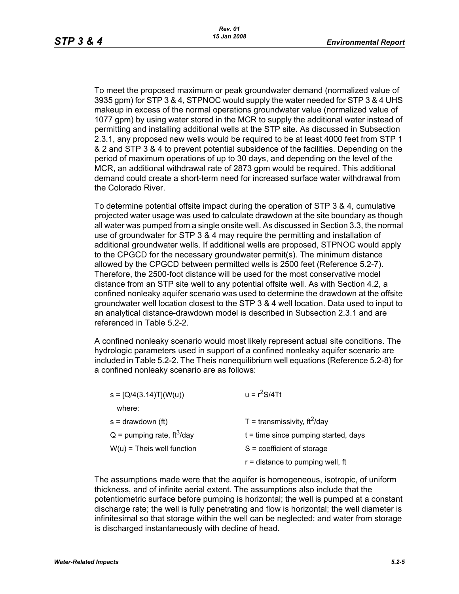To meet the proposed maximum or peak groundwater demand (normalized value of 3935 gpm) for STP 3 & 4, STPNOC would supply the water needed for STP 3 & 4 UHS makeup in excess of the normal operations groundwater value (normalized value of 1077 gpm) by using water stored in the MCR to supply the additional water instead of permitting and installing additional wells at the STP site. As discussed in Subsection 2.3.1, any proposed new wells would be required to be at least 4000 feet from STP 1 & 2 and STP 3 & 4 to prevent potential subsidence of the facilities. Depending on the period of maximum operations of up to 30 days, and depending on the level of the MCR, an additional withdrawal rate of 2873 gpm would be required. This additional demand could create a short-term need for increased surface water withdrawal from the Colorado River.

To determine potential offsite impact during the operation of STP 3 & 4, cumulative projected water usage was used to calculate drawdown at the site boundary as though all water was pumped from a single onsite well. As discussed in Section 3.3, the normal use of groundwater for STP 3 & 4 may require the permitting and installation of additional groundwater wells. If additional wells are proposed, STPNOC would apply to the CPGCD for the necessary groundwater permit(s). The minimum distance allowed by the CPGCD between permitted wells is 2500 feet (Reference 5.2-7). Therefore, the 2500-foot distance will be used for the most conservative model distance from an STP site well to any potential offsite well. As with Section 4.2, a confined nonleaky aquifer scenario was used to determine the drawdown at the offsite groundwater well location closest to the STP 3 & 4 well location. Data used to input to an analytical distance-drawdown model is described in Subsection 2.3.1 and are referenced in Table 5.2-2.

A confined nonleaky scenario would most likely represent actual site conditions. The hydrologic parameters used in support of a confined nonleaky aquifer scenario are included in Table 5.2-2. The Theis nonequilibrium well equations (Reference 5.2-8) for a confined nonleaky scenario are as follows:

| $u = r^2S/4Tt$                         |
|----------------------------------------|
|                                        |
| T = transmissivity, $ft^2$ /day        |
| $t =$ time since pumping started, days |
| $S = coefficient of storage$           |
| $r =$ distance to pumping well, ft     |
|                                        |

The assumptions made were that the aquifer is homogeneous, isotropic, of uniform thickness, and of infinite aerial extent. The assumptions also include that the potentiometric surface before pumping is horizontal; the well is pumped at a constant discharge rate; the well is fully penetrating and flow is horizontal; the well diameter is infinitesimal so that storage within the well can be neglected; and water from storage is discharged instantaneously with decline of head.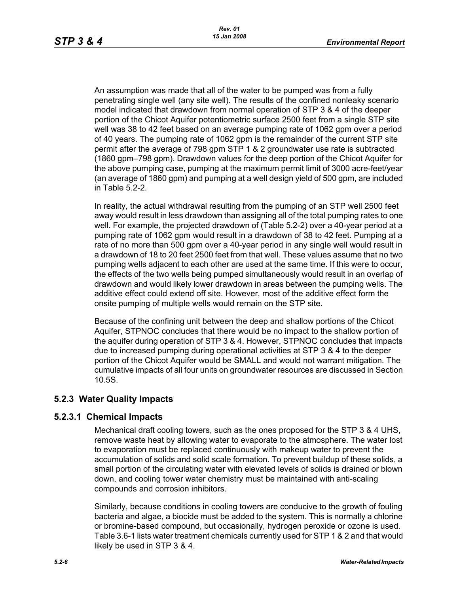An assumption was made that all of the water to be pumped was from a fully penetrating single well (any site well). The results of the confined nonleaky scenario model indicated that drawdown from normal operation of STP 3 & 4 of the deeper portion of the Chicot Aquifer potentiometric surface 2500 feet from a single STP site well was 38 to 42 feet based on an average pumping rate of 1062 gpm over a period of 40 years. The pumping rate of 1062 gpm is the remainder of the current STP site permit after the average of 798 gpm STP 1 & 2 groundwater use rate is subtracted (1860 gpm–798 gpm). Drawdown values for the deep portion of the Chicot Aquifer for the above pumping case, pumping at the maximum permit limit of 3000 acre-feet/year (an average of 1860 gpm) and pumping at a well design yield of 500 gpm, are included in Table 5.2-2.

In reality, the actual withdrawal resulting from the pumping of an STP well 2500 feet away would result in less drawdown than assigning all of the total pumping rates to one well. For example, the projected drawdown of (Table 5.2-2) over a 40-year period at a pumping rate of 1062 gpm would result in a drawdown of 38 to 42 feet. Pumping at a rate of no more than 500 gpm over a 40-year period in any single well would result in a drawdown of 18 to 20 feet 2500 feet from that well. These values assume that no two pumping wells adjacent to each other are used at the same time. If this were to occur, the effects of the two wells being pumped simultaneously would result in an overlap of drawdown and would likely lower drawdown in areas between the pumping wells. The additive effect could extend off site. However, most of the additive effect form the onsite pumping of multiple wells would remain on the STP site.

Because of the confining unit between the deep and shallow portions of the Chicot Aquifer, STPNOC concludes that there would be no impact to the shallow portion of the aquifer during operation of STP 3 & 4. However, STPNOC concludes that impacts due to increased pumping during operational activities at STP 3 & 4 to the deeper portion of the Chicot Aquifer would be SMALL and would not warrant mitigation. The cumulative impacts of all four units on groundwater resources are discussed in Section 10.5S.

## **5.2.3 Water Quality Impacts**

## **5.2.3.1 Chemical Impacts**

Mechanical draft cooling towers, such as the ones proposed for the STP 3 & 4 UHS, remove waste heat by allowing water to evaporate to the atmosphere. The water lost to evaporation must be replaced continuously with makeup water to prevent the accumulation of solids and solid scale formation. To prevent buildup of these solids, a small portion of the circulating water with elevated levels of solids is drained or blown down, and cooling tower water chemistry must be maintained with anti-scaling compounds and corrosion inhibitors.

Similarly, because conditions in cooling towers are conducive to the growth of fouling bacteria and algae, a biocide must be added to the system. This is normally a chlorine or bromine-based compound, but occasionally, hydrogen peroxide or ozone is used. Table 3.6-1 lists water treatment chemicals currently used for STP 1 & 2 and that would likely be used in STP 3 & 4.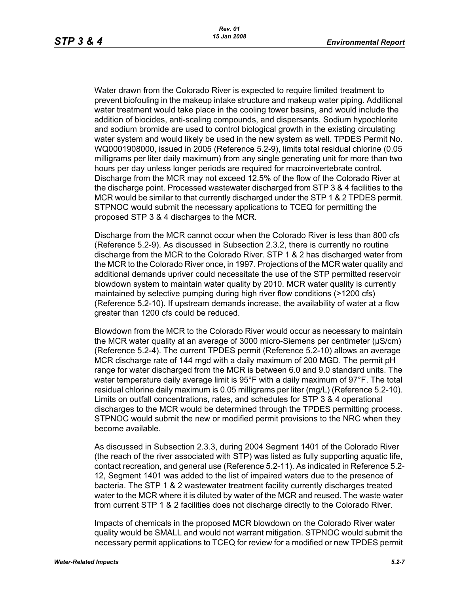Water drawn from the Colorado River is expected to require limited treatment to prevent biofouling in the makeup intake structure and makeup water piping. Additional water treatment would take place in the cooling tower basins, and would include the addition of biocides, anti-scaling compounds, and dispersants. Sodium hypochlorite and sodium bromide are used to control biological growth in the existing circulating water system and would likely be used in the new system as well. TPDES Permit No. WQ0001908000, issued in 2005 (Reference 5.2-9), limits total residual chlorine (0.05 milligrams per liter daily maximum) from any single generating unit for more than two hours per day unless longer periods are required for macroinvertebrate control. Discharge from the MCR may not exceed 12.5% of the flow of the Colorado River at the discharge point. Processed wastewater discharged from STP 3 & 4 facilities to the MCR would be similar to that currently discharged under the STP 1 & 2 TPDES permit. STPNOC would submit the necessary applications to TCEQ for permitting the proposed STP 3 & 4 discharges to the MCR.

Discharge from the MCR cannot occur when the Colorado River is less than 800 cfs (Reference 5.2-9). As discussed in Subsection 2.3.2, there is currently no routine discharge from the MCR to the Colorado River. STP 1 & 2 has discharged water from the MCR to the Colorado River once, in 1997. Projections of the MCR water quality and additional demands upriver could necessitate the use of the STP permitted reservoir blowdown system to maintain water quality by 2010. MCR water quality is currently maintained by selective pumping during high river flow conditions (>1200 cfs) (Reference 5.2-10). If upstream demands increase, the availability of water at a flow greater than 1200 cfs could be reduced.

Blowdown from the MCR to the Colorado River would occur as necessary to maintain the MCR water quality at an average of 3000 micro-Siemens per centimeter (µS/cm) (Reference 5.2-4). The current TPDES permit (Reference 5.2-10) allows an average MCR discharge rate of 144 mgd with a daily maximum of 200 MGD. The permit pH range for water discharged from the MCR is between 6.0 and 9.0 standard units. The water temperature daily average limit is 95°F with a daily maximum of 97°F. The total residual chlorine daily maximum is 0.05 milligrams per liter (mg/L) (Reference 5.2-10). Limits on outfall concentrations, rates, and schedules for STP 3 & 4 operational discharges to the MCR would be determined through the TPDES permitting process. STPNOC would submit the new or modified permit provisions to the NRC when they become available.

As discussed in Subsection 2.3.3, during 2004 Segment 1401 of the Colorado River (the reach of the river associated with STP) was listed as fully supporting aquatic life, contact recreation, and general use (Reference 5.2-11). As indicated in Reference 5.2- 12, Segment 1401 was added to the list of impaired waters due to the presence of bacteria. The STP 1 & 2 wastewater treatment facility currently discharges treated water to the MCR where it is diluted by water of the MCR and reused. The waste water from current STP 1 & 2 facilities does not discharge directly to the Colorado River.

Impacts of chemicals in the proposed MCR blowdown on the Colorado River water quality would be SMALL and would not warrant mitigation. STPNOC would submit the necessary permit applications to TCEQ for review for a modified or new TPDES permit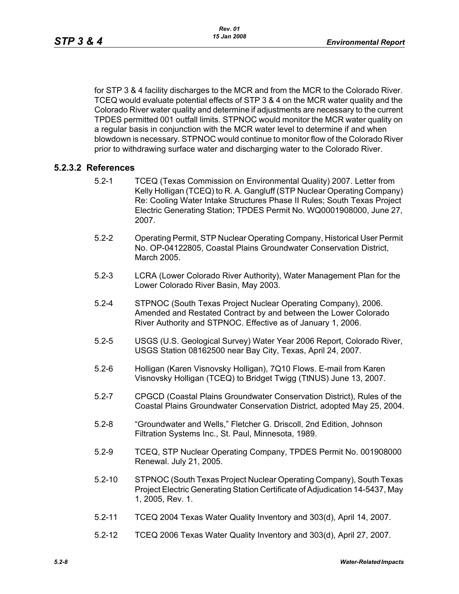for STP 3 & 4 facility discharges to the MCR and from the MCR to the Colorado River. TCEQ would evaluate potential effects of STP 3 & 4 on the MCR water quality and the Colorado River water quality and determine if adjustments are necessary to the current TPDES permitted 001 outfall limits. STPNOC would monitor the MCR water quality on a regular basis in conjunction with the MCR water level to determine if and when blowdown is necessary. STPNOC would continue to monitor flow of the Colorado River prior to withdrawing surface water and discharging water to the Colorado River.

### **5.2.3.2 References**

- 5.2-1 TCEQ (Texas Commission on Environmental Quality) 2007. Letter from Kelly Holligan (TCEQ) to R. A. Gangluff (STP Nuclear Operating Company) Re: Cooling Water Intake Structures Phase II Rules; South Texas Project Electric Generating Station; TPDES Permit No. WQ0001908000, June 27, 2007.
- 5.2-2 Operating Permit, STP Nuclear Operating Company, Historical User Permit No. OP-04122805, Coastal Plains Groundwater Conservation District, March 2005.
- 5.2-3 LCRA (Lower Colorado River Authority), Water Management Plan for the Lower Colorado River Basin, May 2003.
- 5.2-4 STPNOC (South Texas Project Nuclear Operating Company), 2006. Amended and Restated Contract by and between the Lower Colorado River Authority and STPNOC. Effective as of January 1, 2006.
- 5.2-5 USGS (U.S. Geological Survey) Water Year 2006 Report, Colorado River, USGS Station 08162500 near Bay City, Texas, April 24, 2007.
- 5.2-6 Holligan (Karen Visnovsky Holligan), 7Q10 Flows. E-mail from Karen Visnovsky Holligan (TCEQ) to Bridget Twigg (TtNUS) June 13, 2007.
- 5.2-7 CPGCD (Coastal Plains Groundwater Conservation District), Rules of the Coastal Plains Groundwater Conservation District, adopted May 25, 2004.
- 5.2-8 "Groundwater and Wells," Fletcher G. Driscoll, 2nd Edition, Johnson Filtration Systems Inc., St. Paul, Minnesota, 1989.
- 5.2-9 TCEQ, STP Nuclear Operating Company, TPDES Permit No. 001908000 Renewal. July 21, 2005.
- 5.2-10 STPNOC (South Texas Project Nuclear Operating Company), South Texas Project Electric Generating Station Certificate of Adjudication 14-5437, May 1, 2005, Rev. 1.
- 5.2-11 TCEQ 2004 Texas Water Quality Inventory and 303(d), April 14, 2007.
- 5.2-12 TCEQ 2006 Texas Water Quality Inventory and 303(d), April 27, 2007.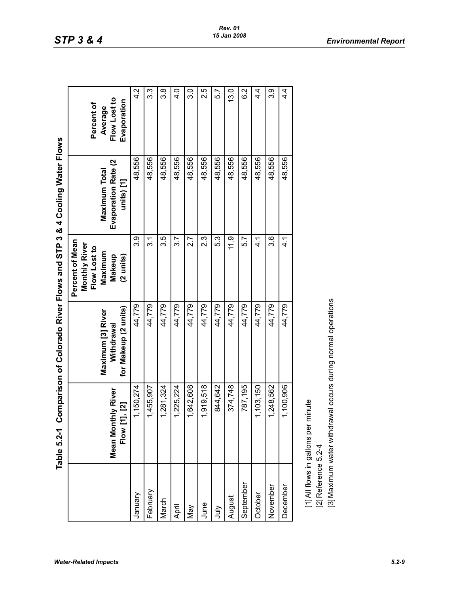| "<br>ק"<br>simpoor かっ    |
|--------------------------|
|                          |
|                          |
|                          |
|                          |
|                          |
| Flows and STP 3 & 4 Co   |
|                          |
|                          |
|                          |
|                          |
|                          |
| Colorado River Flows and |
|                          |
| -<br> <br> <br>          |
|                          |

|                     | Table 5.2-1 Comparison of Colorado River Flows and STP 3 & 4 Cooling Water Flows                    |                                                         |                                                                                              |                                                    |                                                      |
|---------------------|-----------------------------------------------------------------------------------------------------|---------------------------------------------------------|----------------------------------------------------------------------------------------------|----------------------------------------------------|------------------------------------------------------|
|                     | Mean Monthly River<br>$\overline{1}$ , [2]<br>Flow [1]                                              | for Makeup (2 units)<br>Maximum [3] River<br>Withdrawal | Percent of Mean<br>Monthly River<br>Flow Lost to<br>Maximum<br>Makeup<br>$(2 \text{ units})$ | Evaporation Rate (2<br>Maximum Total<br>units) [1] | Flow Lost to<br>Evaporation<br>Percent of<br>Average |
| Vienua              | 1,150,274                                                                                           | 44,779                                                  | <u>ვ ვ</u>                                                                                   | 48,556                                             | $4.\overline{2}$                                     |
| February            | 1,455,907                                                                                           | 44,779                                                  | $\overline{3}$ .1                                                                            | 48,556                                             | 3.3                                                  |
| March               | 1,281,324                                                                                           | 44,779                                                  | 3.5                                                                                          | 48,556                                             | $3.\overline{8}$                                     |
| April               | 1,225,224                                                                                           | 44,779                                                  | 3.7                                                                                          | 48,556                                             | $\frac{4}{3}$                                        |
| Vay                 | 1,642,608                                                                                           | 44,779                                                  | 2.7                                                                                          | 48,556                                             | 3.0                                                  |
| June                | 1,919,518                                                                                           | 44,779                                                  | 23                                                                                           | 48,556                                             | 2.5                                                  |
| Š                   | 844,642                                                                                             | 44,779                                                  | 5.3                                                                                          | 48,556                                             | 5.7                                                  |
| August              | 374,748                                                                                             | 44,779                                                  | 11.9                                                                                         | 48,556                                             | 13.0                                                 |
| September           | 787,195                                                                                             | 44,779                                                  | 5.7                                                                                          | 48,556                                             | 6.2                                                  |
| October             | 1,103,150                                                                                           | 44,779                                                  | ب<br>4                                                                                       | 48,556                                             | 4.<br>4                                              |
| November            | 1,248,562                                                                                           | 44,779                                                  | ვ.<br>თ                                                                                      | 48,556                                             | <u>ვ ვ</u>                                           |
| December            | 1,100,906                                                                                           | 44,779                                                  | 4.1                                                                                          | 48,556                                             | $4\overline{4}$                                      |
| [2] Reference 5.2-4 | [3] Maximum water withdrawal occurs during normal operations<br>[1] All flows in gallons per minute |                                                         |                                                                                              |                                                    |                                                      |